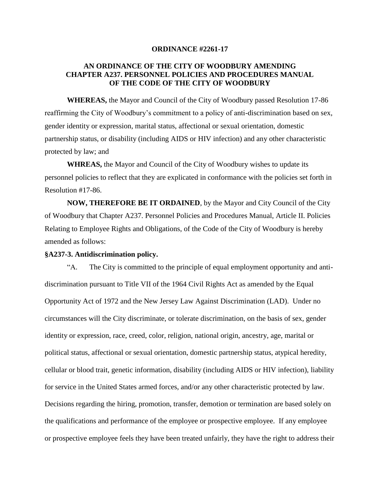### **ORDINANCE #2261-17**

## **AN ORDINANCE OF THE CITY OF WOODBURY AMENDING CHAPTER A237. PERSONNEL POLICIES AND PROCEDURES MANUAL OF THE CODE OF THE CITY OF WOODBURY**

**WHEREAS,** the Mayor and Council of the City of Woodbury passed Resolution 17-86 reaffirming the City of Woodbury's commitment to a policy of anti-discrimination based on sex, gender identity or expression, marital status, affectional or sexual orientation, domestic partnership status, or disability (including AIDS or HIV infection) and any other characteristic protected by law; and

**WHREAS,** the Mayor and Council of the City of Woodbury wishes to update its personnel policies to reflect that they are explicated in conformance with the policies set forth in Resolution #17-86.

**NOW, THEREFORE BE IT ORDAINED**, by the Mayor and City Council of the City of Woodbury that Chapter A237. Personnel Policies and Procedures Manual, Article II. Policies Relating to Employee Rights and Obligations, of the Code of the City of Woodbury is hereby amended as follows:

#### **§A237-3. Antidiscrimination policy.**

"A. The City is committed to the principle of equal employment opportunity and antidiscrimination pursuant to Title VII of the 1964 Civil Rights Act as amended by the Equal Opportunity Act of 1972 and the New Jersey Law Against Discrimination (LAD). Under no circumstances will the City discriminate, or tolerate discrimination, on the basis of sex, gender identity or expression, race, creed, color, religion, national origin, ancestry, age, marital or political status, affectional or sexual orientation, domestic partnership status, atypical heredity, cellular or blood trait, genetic information, disability (including AIDS or HIV infection), liability for service in the United States armed forces, and/or any other characteristic protected by law. Decisions regarding the hiring, promotion, transfer, demotion or termination are based solely on the qualifications and performance of the employee or prospective employee. If any employee or prospective employee feels they have been treated unfairly, they have the right to address their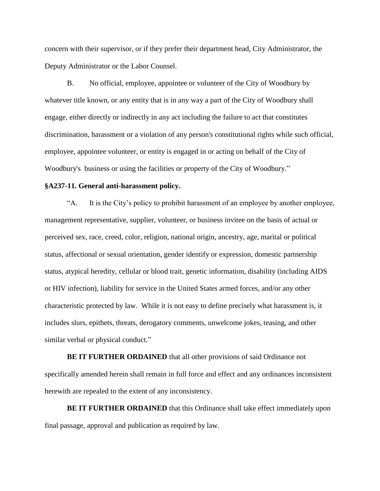concern with their supervisor, or if they prefer their department head, City Administrator, the Deputy Administrator or the Labor Counsel.

B. No official, employee, appointee or volunteer of the City of Woodbury by whatever title known, or any entity that is in any way a part of the City of Woodbury shall engage, either directly or indirectly in any act including the failure to act that constitutes discrimination, harassment or a violation of any person's constitutional rights while such official, employee, appointee volunteer, or entity is engaged in or acting on behalf of the City of Woodbury's business or using the facilities or property of the City of Woodbury."

### **§A237-11. General anti-harassment policy.**

"A. It is the City's policy to prohibit harassment of an employee by another employee, management representative, supplier, volunteer, or business invitee on the basis of actual or perceived sex, race, creed, color, religion, national origin, ancestry, age, marital or political status, affectional or sexual orientation, gender identify or expression, domestic partnership status, atypical heredity, cellular or blood trait, genetic information, disability (including AIDS or HIV infection), liability for service in the United States armed forces, and/or any other characteristic protected by law. While it is not easy to define precisely what harassment is, it includes slurs, epithets, threats, derogatory comments, unwelcome jokes, teasing, and other similar verbal or physical conduct."

**BE IT FURTHER ORDAINED** that all other provisions of said Ordinance not specifically amended herein shall remain in full force and effect and any ordinances inconsistent herewith are repealed to the extent of any inconsistency.

**BE IT FURTHER ORDAINED** that this Ordinance shall take effect immediately upon final passage, approval and publication as required by law.